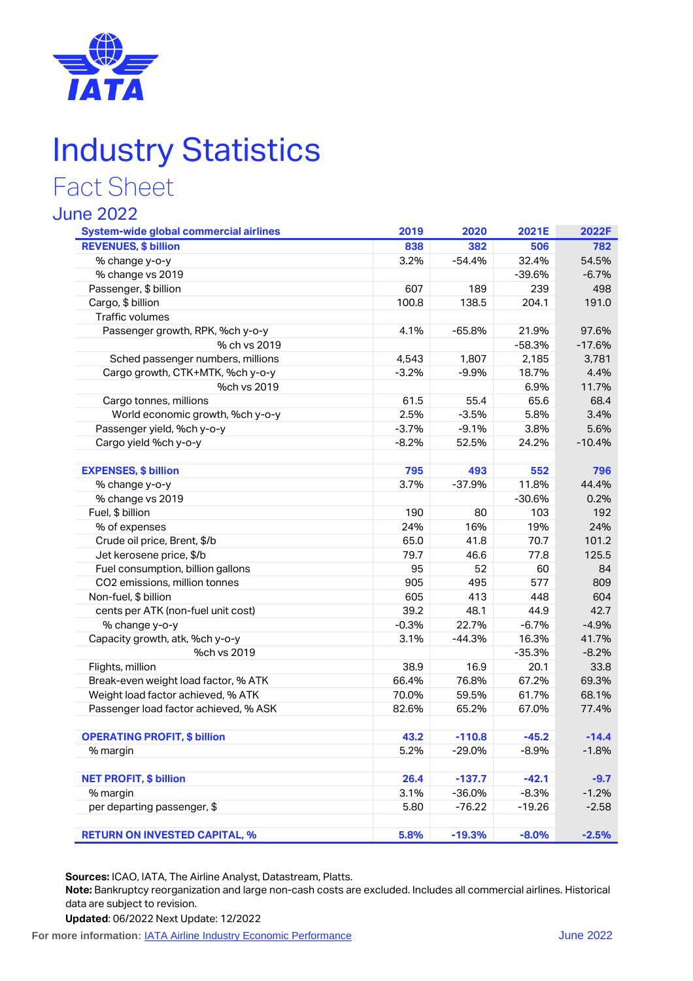

# Industry Statistics

## Fact Sheet

#### June 2022

| <b>System-wide global commercial airlines</b> | 2019    | 2020     | 2021E    | 2022F    |
|-----------------------------------------------|---------|----------|----------|----------|
| <b>REVENUES, \$ billion</b>                   | 838     | 382      | 506      | 782      |
| % change y-o-y                                | 3.2%    | $-54.4%$ | 32.4%    | 54.5%    |
| % change vs 2019                              |         |          | $-39.6%$ | $-6.7%$  |
| Passenger, \$ billion                         | 607     | 189      | 239      | 498      |
| Cargo, \$ billion                             | 100.8   | 138.5    | 204.1    | 191.0    |
| Traffic volumes                               |         |          |          |          |
| Passenger growth, RPK, %ch y-o-y              | 4.1%    | $-65.8%$ | 21.9%    | 97.6%    |
| % ch vs 2019                                  |         |          | $-58.3%$ | $-17.6%$ |
| Sched passenger numbers, millions             | 4,543   | 1,807    | 2,185    | 3,781    |
| Cargo growth, CTK+MTK, %ch y-o-y              | $-3.2%$ | $-9.9%$  | 18.7%    | 4.4%     |
| %ch vs 2019                                   |         |          | 6.9%     | 11.7%    |
| Cargo tonnes, millions                        | 61.5    | 55.4     | 65.6     | 68.4     |
| World economic growth, %ch y-o-y              | 2.5%    | $-3.5%$  | 5.8%     | 3.4%     |
| Passenger yield, %ch y-o-y                    | $-3.7%$ | $-9.1%$  | 3.8%     | 5.6%     |
| Cargo yield %ch y-o-y                         | $-8.2%$ | 52.5%    | 24.2%    | $-10.4%$ |
| <b>EXPENSES, \$ billion</b>                   | 795     | 493      | 552      | 796      |
| % change y-o-y                                | 3.7%    | $-37.9%$ | 11.8%    | 44.4%    |
| % change vs 2019                              |         |          | $-30.6%$ | 0.2%     |
| Fuel, \$ billion                              | 190     | 80       | 103      | 192      |
| % of expenses                                 | 24%     | 16%      | 19%      | 24%      |
| Crude oil price, Brent, \$/b                  | 65.0    | 41.8     | 70.7     | 101.2    |
| Jet kerosene price, \$/b                      | 79.7    | 46.6     | 77.8     | 125.5    |
| Fuel consumption, billion gallons             | 95      | 52       | 60       | 84       |
| CO2 emissions, million tonnes                 | 905     | 495      | 577      | 809      |
| Non-fuel, \$ billion                          | 605     | 413      | 448      | 604      |
| cents per ATK (non-fuel unit cost)            | 39.2    | 48.1     | 44.9     | 42.7     |
| % change y-o-y                                | $-0.3%$ | 22.7%    | $-6.7%$  | $-4.9%$  |
| Capacity growth, atk, %ch y-o-y               | 3.1%    | $-44.3%$ | 16.3%    | 41.7%    |
| %ch vs 2019                                   |         |          | $-35.3%$ | $-8.2%$  |
| Flights, million                              | 38.9    | 16.9     | 20.1     | 33.8     |
| Break-even weight load factor, % ATK          | 66.4%   | 76.8%    | 67.2%    | 69.3%    |
| Weight load factor achieved, % ATK            | 70.0%   | 59.5%    | 61.7%    | 68.1%    |
| Passenger load factor achieved, % ASK         | 82.6%   | 65.2%    | 67.0%    | 77.4%    |
| <b>OPERATING PROFIT, \$ billion</b>           | 43.2    | $-110.8$ | $-45.2$  | $-14.4$  |
| % margin                                      | 5.2%    | $-29.0%$ | $-8.9%$  | $-1.8%$  |
|                                               |         |          |          |          |
| <b>NET PROFIT, \$ billion</b>                 | 26.4    | $-137.7$ | $-42.1$  | $-9.7$   |
| % margin                                      | 3.1%    | $-36.0%$ | $-8.3%$  | $-1.2%$  |
| per departing passenger, \$                   | 5.80    | $-76.22$ | $-19.26$ | $-2.58$  |
| <b>RETURN ON INVESTED CAPITAL, %</b>          | 5.8%    | $-19.3%$ | $-8.0%$  | $-2.5%$  |

**Sources:** ICAO, IATA, The Airline Analyst, Datastream, Platts.

**Note:** Bankruptcy reorganization and large non-cash costs are excluded. Includes all commercial airlines. Historical data are subject to revision.

**Updated**: 06/2022 Next Update: 12/2022

**For more information:**  $IATA$  Airline Industry Economic Performance **Figure 2022**